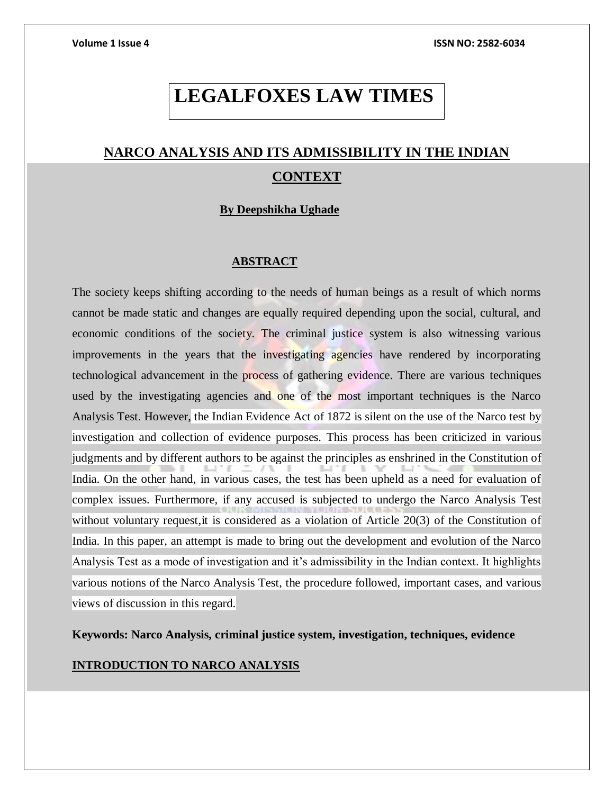# **LEGALFOXES LAW TIMES**

# **NARCO ANALYSIS AND ITS ADMISSIBILITY IN THE INDIAN CONTEXT**

# **By Deepshikha Ughade**

# **ABSTRACT**

The society keeps shifting according to the needs of human beings as a result of which norms cannot be made static and changes are equally required depending upon the social, cultural, and economic conditions of the society. The criminal justice system is also witnessing various improvements in the years that the investigating agencies have rendered by incorporating technological advancement in the process of gathering evidence. There are various techniques used by the investigating agencies and one of the most important techniques is the Narco Analysis Test. However, the Indian Evidence Act of 1872 is silent on the use of the Narco test by investigation and collection of evidence purposes. This process has been criticized in various judgments and by different authors to be against the principles as enshrined in the Constitution of India. On the other hand, in various cases, the test has been upheld as a need for evaluation of complex issues. Furthermore, if any accused is subjected to undergo the Narco Analysis Test without voluntary request, it is considered as a violation of Article 20(3) of the Constitution of India. In this paper, an attempt is made to bring out the development and evolution of the Narco Analysis Test as a mode of investigation and it's admissibility in the Indian context. It highlights various notions of the Narco Analysis Test, the procedure followed, important cases, and various views of discussion in this regard.

**Keywords: Narco Analysis, criminal justice system, investigation, techniques, evidence**

# **INTRODUCTION TO NARCO ANALYSIS**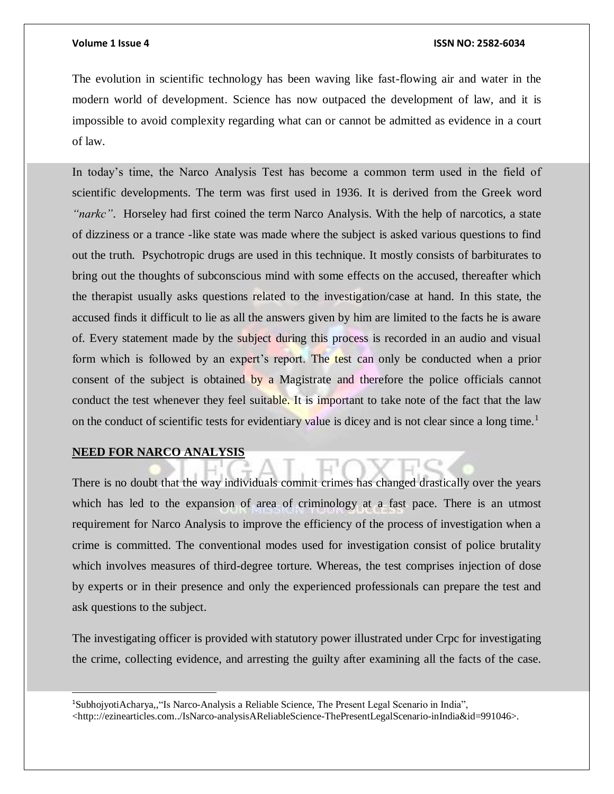The evolution in scientific technology has been waving like fast-flowing air and water in the modern world of development. Science has now outpaced the development of law, and it is impossible to avoid complexity regarding what can or cannot be admitted as evidence in a court of law.

In today's time, the Narco Analysis Test has become a common term used in the field of scientific developments. The term was first used in 1936. It is derived from the Greek word *"narkc"*. Horseley had first coined the term Narco Analysis. With the help of narcotics, a state of dizziness or a trance -like state was made where the subject is asked various questions to find out the truth. Psychotropic drugs are used in this technique. It mostly consists of barbiturates to bring out the thoughts of subconscious mind with some effects on the accused, thereafter which the therapist usually asks questions related to the investigation/case at hand. In this state, the accused finds it difficult to lie as all the answers given by him are limited to the facts he is aware of. Every statement made by the subject during this process is recorded in an audio and visual form which is followed by an expert's report. The test can only be conducted when a prior consent of the subject is obtained by a Magistrate and therefore the police officials cannot conduct the test whenever they feel suitable. It is important to take note of the fact that the law on the conduct of scientific tests for evidentiary value is dicey and is not clear since a long time.<sup>1</sup>

# **NEED FOR NARCO ANALYSIS**

l

There is no doubt that the way individuals commit crimes has changed drastically over the years which has led to the expansion of area of criminology at a fast pace. There is an utmost requirement for Narco Analysis to improve the efficiency of the process of investigation when a crime is committed. The conventional modes used for investigation consist of police brutality which involves measures of third-degree torture. Whereas, the test comprises injection of dose by experts or in their presence and only the experienced professionals can prepare the test and ask questions to the subject.

The investigating officer is provided with statutory power illustrated under Crpc for investigating the crime, collecting evidence, and arresting the guilty after examining all the facts of the case.

<sup>1</sup>SubhojyotiAcharya,,"Is Narco-Analysis a Reliable Science, The Present Legal Scenario in India", <http:://ezinearticles.com../IsNarco-analysisAReliableScience-ThePresentLegalScenario-inIndia&id=991046>.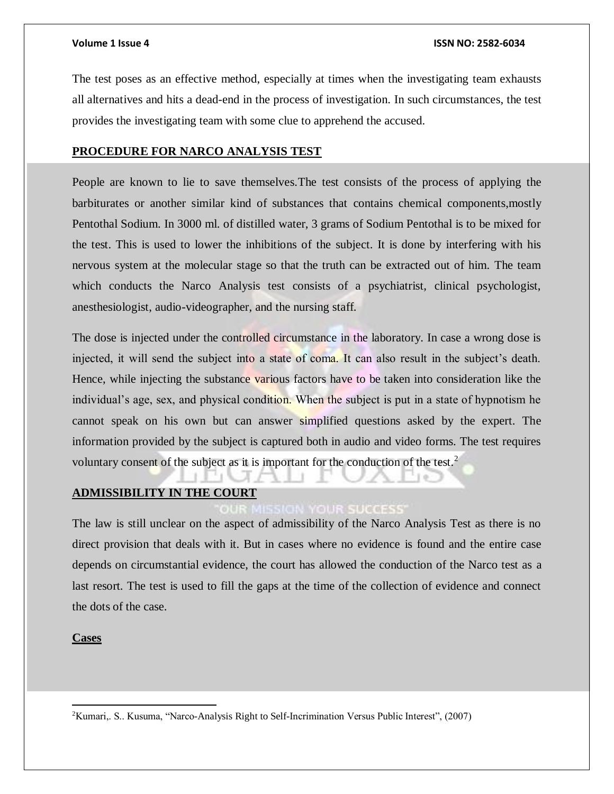The test poses as an effective method, especially at times when the investigating team exhausts all alternatives and hits a dead-end in the process of investigation. In such circumstances, the test provides the investigating team with some clue to apprehend the accused.

# **PROCEDURE FOR NARCO ANALYSIS TEST**

People are known to lie to save themselves.The test consists of the process of applying the barbiturates or another similar kind of substances that contains chemical components,mostly Pentothal Sodium. In 3000 ml. of distilled water, 3 grams of Sodium Pentothal is to be mixed for the test. This is used to lower the inhibitions of the subject. It is done by interfering with his nervous system at the molecular stage so that the truth can be extracted out of him. The team which conducts the Narco Analysis test consists of a psychiatrist, clinical psychologist, anesthesiologist, audio-videographer, and the nursing staff.

The dose is injected under the controlled circumstance in the laboratory. In case a wrong dose is injected, it will send the subject into a state of coma. It can also result in the subject's death. Hence, while injecting the substance various factors have to be taken into consideration like the individual's age, sex, and physical condition. When the subject is put in a state of hypnotism he cannot speak on his own but can answer simplified questions asked by the expert. The information provided by the subject is captured both in audio and video forms. The test requires voluntary consent of the subject as it is important for the conduction of the test.<sup>2</sup>

# **ADMISSIBILITY IN THE COURT**

# **YOUR SUCCESS**

The law is still unclear on the aspect of admissibility of the Narco Analysis Test as there is no direct provision that deals with it. But in cases where no evidence is found and the entire case depends on circumstantial evidence, the court has allowed the conduction of the Narco test as a last resort. The test is used to fill the gaps at the time of the collection of evidence and connect the dots of the case.

# **Cases**

 $\overline{a}$ 

<sup>2</sup>Kumari,. S.. Kusuma, "Narco-Analysis Right to Self-Incrimination Versus Public Interest", (2007)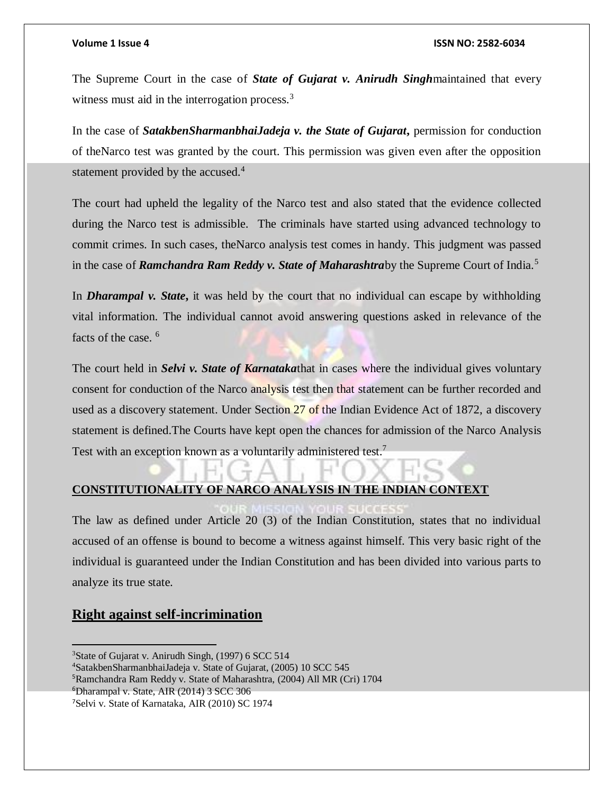The Supreme Court in the case of *State of Gujarat v. Anirudh Singh*maintained that every witness must aid in the interrogation process.<sup>3</sup>

In the case of *SatakbenSharmanbhaiJadeja v. the State of Gujarat***,** permission for conduction of theNarco test was granted by the court. This permission was given even after the opposition statement provided by the accused.<sup>4</sup>

The court had upheld the legality of the Narco test and also stated that the evidence collected during the Narco test is admissible. The criminals have started using advanced technology to commit crimes. In such cases, theNarco analysis test comes in handy. This judgment was passed in the case of *Ramchandra Ram Reddy v. State of Maharashtra*by the Supreme Court of India.<sup>5</sup>

In *Dharampal v. State***,** it was held by the court that no individual can escape by withholding vital information. The individual cannot avoid answering questions asked in relevance of the facts of the case. <sup>6</sup>

The court held in *Selvi v. State of Karnataka*that in cases where the individual gives voluntary consent for conduction of the Narco analysis test then that statement can be further recorded and used as a discovery statement. Under Section 27 of the Indian Evidence Act of 1872, a discovery statement is defined.The Courts have kept open the chances for admission of the Narco Analysis Test with an exception known as a voluntarily administered test.<sup>7</sup>

# **CONSTITUTIONALITY OF NARCO ANALYSIS IN THE INDIAN CONTEXT**

The law as defined under Article 20 (3) of the Indian Constitution, states that no individual accused of an offense is bound to become a witness against himself. This very basic right of the individual is guaranteed under the Indian Constitution and has been divided into various parts to analyze its true state.

# **Right against self-incrimination**

<sup>5</sup>Ramchandra Ram Reddy v. State of Maharashtra, (2004) All MR (Cri) 1704

 $\overline{a}$ 

<sup>&</sup>lt;sup>3</sup>State of Gujarat v. Anirudh Singh, (1997) 6 SCC 514

<sup>4</sup>SatakbenSharmanbhaiJadeja v. State of Gujarat, (2005) 10 SCC 545

<sup>6</sup>Dharampal v. State, AIR (2014) 3 SCC 306

<sup>7</sup>Selvi v. State of Karnataka, AIR (2010) SC 1974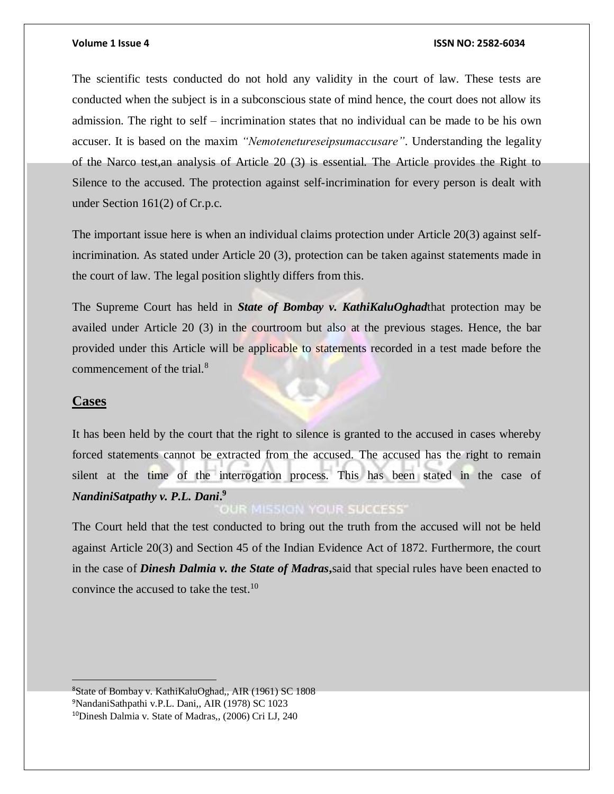The scientific tests conducted do not hold any validity in the court of law. These tests are conducted when the subject is in a subconscious state of mind hence, the court does not allow its admission. The right to self – incrimination states that no individual can be made to be his own accuser. It is based on the maxim *"Nemotenetureseipsumaccusare"*. Understanding the legality of the Narco test,an analysis of Article 20 (3) is essential. The Article provides the Right to Silence to the accused. The protection against self-incrimination for every person is dealt with under Section 161(2) of Cr.p.c.

The important issue here is when an individual claims protection under Article 20(3) against selfincrimination. As stated under Article 20 (3), protection can be taken against statements made in the court of law. The legal position slightly differs from this.

The Supreme Court has held in *State of Bombay v. KathiKaluOghad*that protection may be availed under Article 20 (3) in the courtroom but also at the previous stages. Hence, the bar provided under this Article will be applicable to statements recorded in a test made before the commencement of the trial.<sup>8</sup>

### **Cases**

It has been held by the court that the right to silence is granted to the accused in cases whereby forced statements cannot be extracted from the accused. The accused has the right to remain silent at the time of the interrogation process. This has been stated in the case of *NandiniSatpathy v. P.L. Dani***. 9**

The Court held that the test conducted to bring out the truth from the accused will not be held against Article 20(3) and Section 45 of the Indian Evidence Act of 1872. Furthermore, the court in the case of *Dinesh Dalmia v. the State of Madras***,**said that special rules have been enacted to convince the accused to take the test.<sup>10</sup>

<sup>8</sup>State of Bombay v. KathiKaluOghad,, AIR (1961) SC 1808 <sup>9</sup>NandaniSathpathi v.P.L. Dani,, AIR (1978) SC 1023 10Dinesh Dalmia v. State of Madras,, (2006) Cri LJ, 240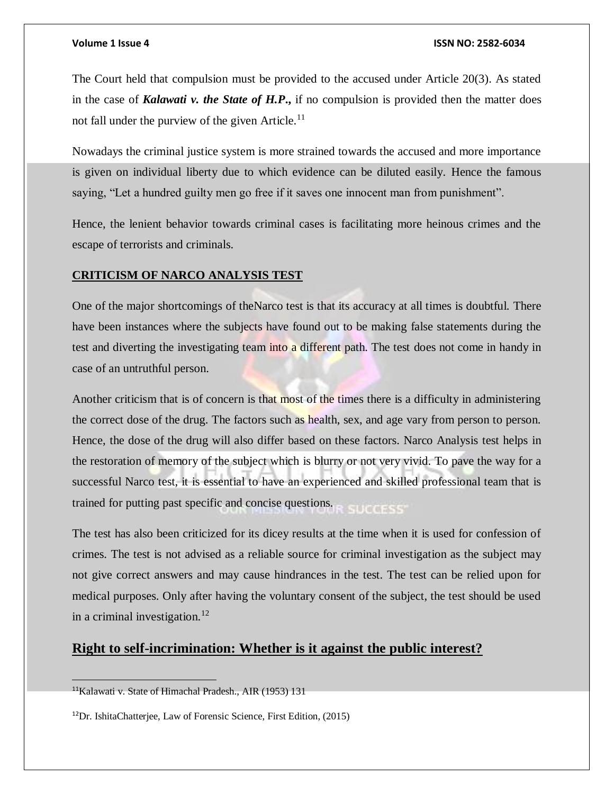The Court held that compulsion must be provided to the accused under Article 20(3). As stated in the case of *Kalawati v. the State of H.P***.,** if no compulsion is provided then the matter does not fall under the purview of the given Article.<sup>11</sup>

Nowadays the criminal justice system is more strained towards the accused and more importance is given on individual liberty due to which evidence can be diluted easily. Hence the famous saying, "Let a hundred guilty men go free if it saves one innocent man from punishment".

Hence, the lenient behavior towards criminal cases is facilitating more heinous crimes and the escape of terrorists and criminals.

# **CRITICISM OF NARCO ANALYSIS TEST**

One of the major shortcomings of theNarco test is that its accuracy at all times is doubtful. There have been instances where the subjects have found out to be making false statements during the test and diverting the investigating team into a different path. The test does not come in handy in case of an untruthful person.

Another criticism that is of concern is that most of the times there is a difficulty in administering the correct dose of the drug. The factors such as health, sex, and age vary from person to person. Hence, the dose of the drug will also differ based on these factors. Narco Analysis test helps in the restoration of memory of the subject which is blurry or not very vivid. To pave the way for a successful Narco test, it is essential to have an experienced and skilled professional team that is trained for putting past specific and concise questions.

The test has also been criticized for its dicey results at the time when it is used for confession of crimes. The test is not advised as a reliable source for criminal investigation as the subject may not give correct answers and may cause hindrances in the test. The test can be relied upon for medical purposes. Only after having the voluntary consent of the subject, the test should be used in a criminal investigation.<sup>12</sup>

# **Right to self-incrimination: Whether is it against the public interest?**

<sup>11</sup>Kalawati v. State of Himachal Pradesh., AIR (1953) 131

<sup>12</sup>Dr. IshitaChatterjee, Law of Forensic Science, First Edition, (2015)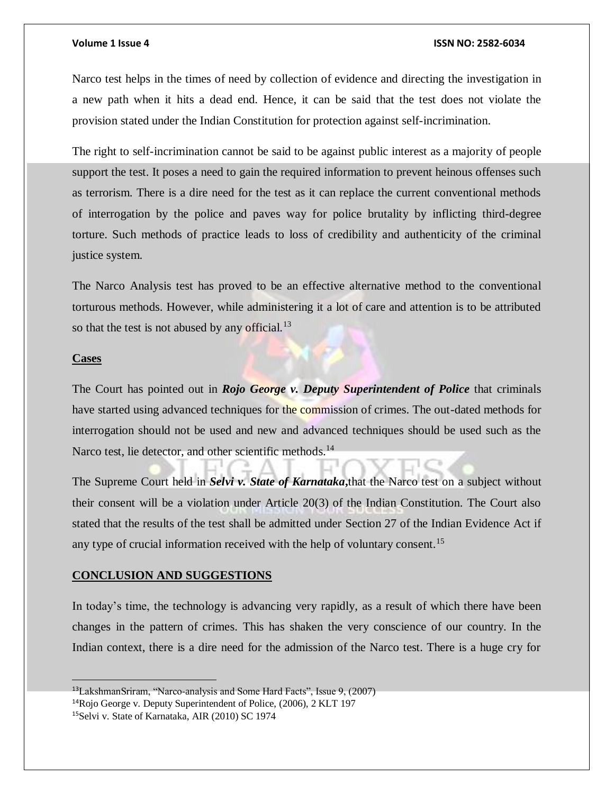Narco test helps in the times of need by collection of evidence and directing the investigation in a new path when it hits a dead end. Hence, it can be said that the test does not violate the provision stated under the Indian Constitution for protection against self-incrimination.

The right to self-incrimination cannot be said to be against public interest as a majority of people support the test. It poses a need to gain the required information to prevent heinous offenses such as terrorism. There is a dire need for the test as it can replace the current conventional methods of interrogation by the police and paves way for police brutality by inflicting third-degree torture. Such methods of practice leads to loss of credibility and authenticity of the criminal justice system.

The Narco Analysis test has proved to be an effective alternative method to the conventional torturous methods. However, while administering it a lot of care and attention is to be attributed so that the test is not abused by any official. $^{13}$ 

# **Cases**

The Court has pointed out in *Rojo George v. Deputy Superintendent of Police* that criminals have started using advanced techniques for the commission of crimes. The out-dated methods for interrogation should not be used and new and advanced techniques should be used such as the Narco test, lie detector, and other scientific methods.<sup>14</sup>

The Supreme Court held in *Selvi v. State of Karnataka***,**that the Narco test on a subject without their consent will be a violation under Article 20(3) of the Indian Constitution. The Court also stated that the results of the test shall be admitted under Section 27 of the Indian Evidence Act if any type of crucial information received with the help of voluntary consent.<sup>15</sup>

# **CONCLUSION AND SUGGESTIONS**

In today's time, the technology is advancing very rapidly, as a result of which there have been changes in the pattern of crimes. This has shaken the very conscience of our country. In the Indian context, there is a dire need for the admission of the Narco test. There is a huge cry for

<sup>13</sup>LakshmanSriram, "Narco-analysis and Some Hard Facts", Issue 9, (2007)

<sup>14</sup>Rojo George v. Deputy Superintendent of Police, (2006), 2 KLT 197

<sup>15</sup>Selvi v. State of Karnataka, AIR (2010) SC 1974